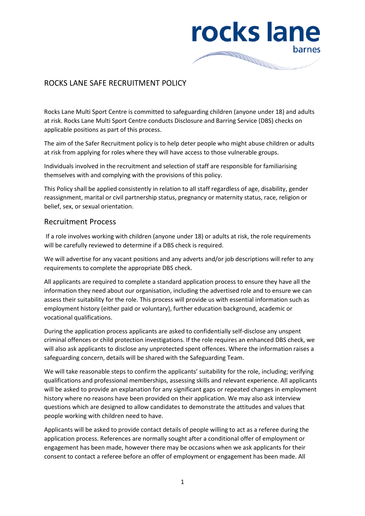

## ROCKS LANE SAFE RECRUITMENT POLICY

Rocks Lane Multi Sport Centre is committed to safeguarding children (anyone under 18) and adults at risk. Rocks Lane Multi Sport Centre conducts Disclosure and Barring Service (DBS) checks on applicable positions as part of this process.

The aim of the Safer Recruitment policy is to help deter people who might abuse children or adults at risk from applying for roles where they will have access to those vulnerable groups.

Individuals involved in the recruitment and selection of staff are responsible for familiarising themselves with and complying with the provisions of this policy.

This Policy shall be applied consistently in relation to all staff regardless of age, disability, gender reassignment, marital or civil partnership status, pregnancy or maternity status, race, religion or belief, sex, or sexual orientation.

## Recruitment Process

If a role involves working with children (anyone under 18) or adults at risk, the role requirements will be carefully reviewed to determine if a DBS check is required.

We will advertise for any vacant positions and any adverts and/or job descriptions will refer to any requirements to complete the appropriate DBS check.

All applicants are required to complete a standard application process to ensure they have all the information they need about our organisation, including the advertised role and to ensure we can assess their suitability for the role. This process will provide us with essential information such as employment history (either paid or voluntary), further education background, academic or vocational qualifications.

During the application process applicants are asked to confidentially self-disclose any unspent criminal offences or child protection investigations. If the role requires an enhanced DBS check, we will also ask applicants to disclose any unprotected spent offences. Where the information raises a safeguarding concern, details will be shared with the Safeguarding Team.

We will take reasonable steps to confirm the applicants' suitability for the role, including; verifying qualifications and professional memberships, assessing skills and relevant experience. All applicants will be asked to provide an explanation for any significant gaps or repeated changes in employment history where no reasons have been provided on their application. We may also ask interview questions which are designed to allow candidates to demonstrate the attitudes and values that people working with children need to have.

Applicants will be asked to provide contact details of people willing to act as a referee during the application process. References are normally sought after a conditional offer of employment or engagement has been made, however there may be occasions when we ask applicants for their consent to contact a referee before an offer of employment or engagement has been made. All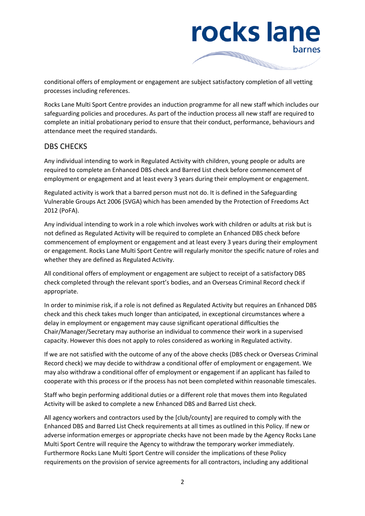rocks lane barnes

conditional offers of employment or engagement are subject satisfactory completion of all vetting processes including references.

Rocks Lane Multi Sport Centre provides an induction programme for all new staff which includes our safeguarding policies and procedures. As part of the induction process all new staff are required to complete an initial probationary period to ensure that their conduct, performance, behaviours and attendance meet the required standards.

## DBS CHECKS

Any individual intending to work in Regulated Activity with children, young people or adults are required to complete an Enhanced DBS check and Barred List check before commencement of employment or engagement and at least every 3 years during their employment or engagement.

Regulated activity is work that a barred person must not do. It is defined in the Safeguarding Vulnerable Groups Act 2006 (SVGA) which has been amended by the Protection of Freedoms Act 2012 (PoFA).

Any individual intending to work in a role which involves work with children or adults at risk but is not defined as Regulated Activity will be required to complete an Enhanced DBS check before commencement of employment or engagement and at least every 3 years during their employment or engagement. Rocks Lane Multi Sport Centre will regularly monitor the specific nature of roles and whether they are defined as Regulated Activity.

All conditional offers of employment or engagement are subject to receipt of a satisfactory DBS check completed through the relevant sport's bodies, and an Overseas Criminal Record check if appropriate.

In order to minimise risk, if a role is not defined as Regulated Activity but requires an Enhanced DBS check and this check takes much longer than anticipated, in exceptional circumstances where a delay in employment or engagement may cause significant operational difficulties the Chair/Manager/Secretary may authorise an individual to commence their work in a supervised capacity. However this does not apply to roles considered as working in Regulated activity.

If we are not satisfied with the outcome of any of the above checks (DBS check or Overseas Criminal Record check) we may decide to withdraw a conditional offer of employment or engagement. We may also withdraw a conditional offer of employment or engagement if an applicant has failed to cooperate with this process or if the process has not been completed within reasonable timescales.

Staff who begin performing additional duties or a different role that moves them into Regulated Activity will be asked to complete a new Enhanced DBS and Barred List check.

All agency workers and contractors used by the [club/county] are required to comply with the Enhanced DBS and Barred List Check requirements at all times as outlined in this Policy. If new or adverse information emerges or appropriate checks have not been made by the Agency Rocks Lane Multi Sport Centre will require the Agency to withdraw the temporary worker immediately. Furthermore Rocks Lane Multi Sport Centre will consider the implications of these Policy requirements on the provision of service agreements for all contractors, including any additional